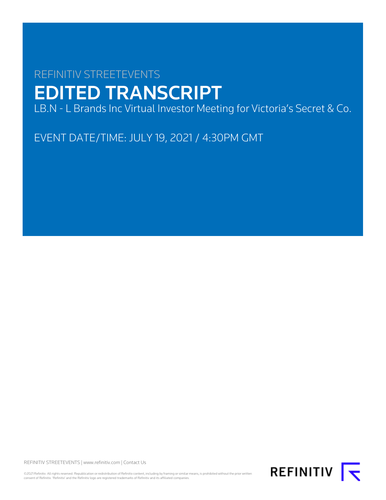# REFINITIV STREETEVENTS EDITED TRANSCRIPT

LB.N - L Brands Inc Virtual Investor Meeting for Victoria's Secret & Co.

EVENT DATE/TIME: JULY 19, 2021 / 4:30PM GMT

REFINITIV STREETEVENTS | [www.refinitiv.com](https://www.refinitiv.com/) | [Contact Us](https://www.refinitiv.com/en/contact-us)

©2021 Refinitiv. All rights reserved. Republication or redistribution of Refinitiv content, including by framing or similar means, is prohibited without the prior written consent of Refinitiv. 'Refinitiv' and the Refinitiv logo are registered trademarks of Refinitiv and its affiliated companies.

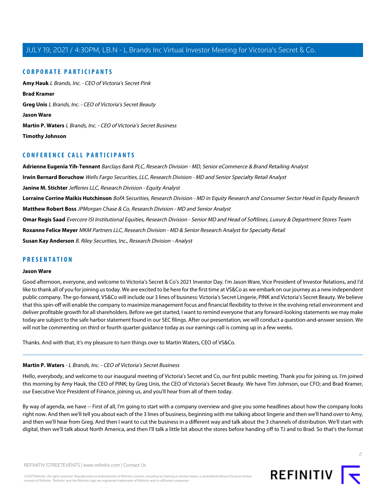# **CORPORATE PARTICIPANTS**

**[Amy Hauk](#page-5-0)** L Brands, Inc. - CEO of Victoria's Secret Pink **[Brad Kramer](#page-11-0) [Greg Unis](#page-6-0)** L Brands, Inc. - CEO of Victoria's Secret Beauty **[Jason Ware](#page-1-0) [Martin P. Waters](#page-1-1)** L Brands, Inc. - CEO of Victoria's Secret Business **[Timothy Johnson](#page-11-1)**

# **CONFERENCE CALL PARTICIPANTS**

**[Adrienne Eugenia Yih-Tennant](#page-19-0)** Barclays Bank PLC, Research Division - MD, Senior eCommerce & Brand Retailing Analyst **[Irwin Bernard Boruchow](#page-18-0)** Wells Fargo Securities, LLC, Research Division - MD and Senior Specialty Retail Analyst **[Janine M. Stichter](#page-20-0)** Jefferies LLC, Research Division - Equity Analyst **[Lorraine Corrine Maikis Hutchinson](#page-17-0)** BofA Securities, Research Division - MD in Equity Research and Consumer Sector Head in Equity Research **[Matthew Robert Boss](#page-15-0)** JPMorgan Chase & Co, Research Division - MD and Senior Analyst **[Omar Regis Saad](#page-20-1)** Evercore ISI Institutional Equities, Research Division - Senior MD and Head of Softlines, Luxury & Department Stores Team **[Roxanne Felice Meyer](#page-14-0)** MKM Partners LLC, Research Division - MD & Senior Research Analyst for Specialty Retail **[Susan Kay Anderson](#page-16-0)** B. Riley Securities, Inc., Research Division - Analyst

# <span id="page-1-0"></span>**PRESENTATION**

# **Jason Ware**

Good afternoon, everyone, and welcome to Victoria's Secret & Co's 2021 Investor Day. I'm Jason Ware, Vice President of Investor Relations, and I'd like to thank all of you for joining us today. We are excited to be here for the first time at VS&Co as we embark on our journey as a new independent public company. The go-forward, VS&Co will include our 3 lines of business: Victoria's Secret Lingerie, PINK and Victoria's Secret Beauty. We believe that this spin-off will enable the company to maximize management focus and financial flexibility to thrive in the evolving retail environment and deliver profitable growth for all shareholders. Before we get started, I want to remind everyone that any forward-looking statements we may make today are subject to the safe harbor statement found in our SEC filings. After our presentation, we will conduct a question-and-answer session. We will not be commenting on third or fourth quarter guidance today as our earnings call is coming up in a few weeks.

<span id="page-1-1"></span>Thanks. And with that, it's my pleasure to turn things over to Martin Waters, CEO of VS&Co.

#### **Martin P. Waters** - L Brands, Inc. - CEO of Victoria's Secret Business

Hello, everybody, and welcome to our inaugural meeting of Victoria's Secret and Co, our first public meeting. Thank you for joining us. I'm joined this morning by Amy Hauk, the CEO of PINK; by Greg Unis, the CEO of Victoria's Secret Beauty. We have Tim Johnson, our CFO; and Brad Kramer, our Executive Vice President of Finance, joining us, and you'll hear from all of them today.

By way of agenda, we have -- First of all, I'm going to start with a company overview and give you some headlines about how the company looks right now. And then we'll tell you about each of the 3 lines of business, beginning with me talking about lingerie and then we'll hand over to Amy, and then we'll hear from Greg. And then I want to cut the business in a different way and talk about the 3 channels of distribution. We'll start with digital, then we'll talk about North America, and then I'll talk a little bit about the stores before handing off to TJ and to Brad. So that's the format

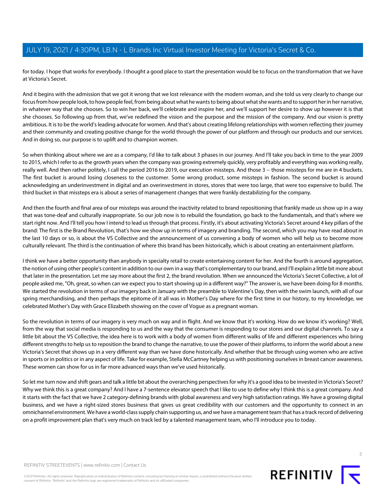for today. I hope that works for everybody. I thought a good place to start the presentation would be to focus on the transformation that we have at Victoria's Secret.

And it begins with the admission that we got it wrong that we lost relevance with the modern woman, and she told us very clearly to change our focus from how people look, to how people feel, from being about what he wants to being about what she wants and to support her in her narrative, in whatever way that she chooses. So to win her back, we'll celebrate and inspire her, and we'll support her desire to show up however it is that she chooses. So following up from that, we've redefined the vision and the purpose and the mission of the company. And our vision is pretty ambitious. It is to be the world's leading advocate for women. And that's about creating lifelong relationships with women reflecting their journey and their community and creating positive change for the world through the power of our platform and through our products and our services. And in doing so, our purpose is to uplift and to champion women.

So when thinking about where we are as a company, I'd like to talk about 3 phases in our journey. And I'll take you back in time to the year 2009 to 2015, which I refer to as the growth years when the company was growing extremely quickly, very profitably and everything was working really, really well. And then rather politely, I call the period 2016 to 2019, our execution missteps. And those 3 -- those missteps for me are in 4 buckets. The first bucket is around losing closeness to the customer. Some wrong product, some missteps in fashion. The second bucket is around acknowledging an underinvestment in digital and an overinvestment in stores, stores that were too large, that were too expensive to build. The third bucket in that missteps era is about a series of management changes that were frankly destabilizing for the company.

And then the fourth and final area of our missteps was around the inactivity related to brand repositioning that frankly made us show up in a way that was tone-deaf and culturally inappropriate. So our job now is to rebuild the foundation, go back to the fundamentals, and that's where we start right now. And I'll tell you how I intend to lead us through that process. Firstly, it's about activating Victoria's Secret around 4 key pillars of the brand: The first is the Brand Revolution, that's how we show up in terms of imagery and branding. The second, which you may have read about in the last 10 days or so, is about the VS Collective and the announcement of us convening a body of women who will help us to become more culturally relevant. The third is the continuation of where this brand has been historically, which is about creating an entertainment platform.

I think we have a better opportunity than anybody in specialty retail to create entertaining content for her. And the fourth is around aggregation, the notion of using other people's content in addition to our own in a way that's complementary to our brand, and I'll explain a little bit more about that later in the presentation. Let me say more about the first 2, the brand revolution. When we announced the Victoria's Secret Collective, a lot of people asked me, "Oh, great, so when can we expect you to start showing up in a different way?" The answer is, we have been doing for 8 months. We started the revolution in terms of our imagery back in January with the preamble to Valentine's Day, then with the swim launch, with all of our spring merchandising, and then perhaps the epitome of it all was in Mother's Day where for the first time in our history, to my knowledge, we celebrated Mother's Day with Grace Elizabeth showing on the cover of Vogue as a pregnant woman.

So the revolution in terms of our imagery is very much on way and in flight. And we know that it's working. How do we know it's working? Well, from the way that social media is responding to us and the way that the consumer is responding to our stores and our digital channels. To say a little bit about the VS Collective, the idea here is to work with a body of women from different walks of life and different experiences who bring different strengths to help us to reposition the brand to change the narrative, to use the power of their platforms, to inform the world about a new Victoria's Secret that shows up in a very different way than we have done historically. And whether that be through using women who are active in sports or in politics or in any aspect of life. Take for example, Stella McCartney helping us with positioning ourselves in breast cancer awareness. These women can show for us in far more advanced ways than we've used historically.

So let me turn now and shift gears and talk a little bit about the overarching perspectives for why it's a good idea to be invested in Victoria's Secret? Why we think this is a great company? And I have a 7-sentence elevator speech that I like to use to define why I think this is a great company. And it starts with the fact that we have 2 category-defining brands with global awareness and very high satisfaction ratings. We have a growing digital business, and we have a right-sized stores business that gives us great credibility with our customers and the opportunity to connect in an omnichannel environment. We have a world-class supply chain supporting us, and we have a management team that has a track record of delivering on a profit improvement plan that's very much on track led by a talented management team, who I'll introduce you to today.

©2021 Refinitiv. All rights reserved. Republication or redistribution of Refinitiv content, including by framing or similar means, is prohibited without the prior written consent of Refinitiv. 'Refinitiv' and the Refinitiv logo are registered trademarks of Refinitiv and its affiliated companies.

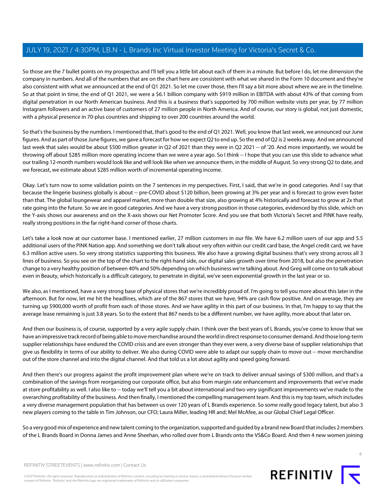So those are the 7 bullet points on my prospectus and I'll tell you a little bit about each of them in a minute. But before I do, let me dimension the company in numbers. And all of the numbers that are on the chart here are consistent with what we shared in the Form 10 document and they're also consistent with what we announced at the end of Q1 2021. So let me cover those, then I'll say a bit more about where we are in the timeline. So at that point in time, the end of Q1 2021, we were a \$6.1 billion company with \$919 million in EBITDA with about 43% of that coming from digital penetration in our North American business. And this is a business that's supported by 700 million website visits per year, by 77 million Instagram followers and an active base of customers of 27 million people in North America. And of course, our story is global, not just domestic, with a physical presence in 70-plus countries and shipping to over 200 countries around the world.

So that's the business by the numbers. I mentioned that, that's good to the end of Q1 2021. Well, you know that last week, we announced our June figures. And as part of those June figures, we gave a forecast for how we expect Q2 to end up. So the end of Q2 is 2 weeks away. And we announced last week that sales would be about \$500 million greater in Q2 of 2021 than they were in Q2 2021 -- of '20. And more importantly, we would be throwing off about \$285 million more operating income than we were a year ago. So I think -- I hope that you can use this slide to advance what our trailing 12-month numbers would look like and will look like when we announce them, in the middle of August. So very strong Q2 to date, and we forecast, we estimate about \$285 million worth of incremental operating income.

Okay. Let's turn now to some validation points on the 7 sentences in my perspectives. First, I said, that we're in good categories. And I say that because the lingerie business globally is about -- pre-COVID about \$120 billion, been growing at 3% per year and is forecast to grow even faster than that. The global loungewear and apparel market, more than double that size, also growing at 4% historically and forecast to grow at 2x that rate going into the future. So we are in good categories. And we have a very strong position in those categories, evidenced by this slide, which on the Y-axis shows our awareness and on the X-axis shows our Net Promoter Score. And you see that both Victoria's Secret and PINK have really, really strong positions in the far right-hand corner of those charts.

Let's take a look now at our customer base. I mentioned earlier, 27 million customers in our file. We have 6.2 million users of our app and 5.5 additional users of the PINK Nation app. And something we don't talk about very often within our credit card base, the Angel credit card, we have 6.3 million active users. So very strong statistics supporting this business. We also have a growing digital business that's very strong across all 3 lines of business. So you see on the top of the chart to the right-hand side, our digital sales growth over time from 2018, but also the penetration change to a very healthy position of between 40% and 50% depending on which business we're talking about. And Greg will come on to talk about even in Beauty, which historically is a difficult category, to penetrate in digital, we've seen exponential growth in the last year or so.

We also, as I mentioned, have a very strong base of physical stores that we're incredibly proud of. I'm going to tell you more about this later in the afternoon. But for now, let me hit the headlines, which are of the 867 stores that we have, 94% are cash flow positive. And on average, they are turning up \$900,000 worth of profit from each of those stores. And we have agility in this part of our business. In that, I'm happy to say that the average lease remaining is just 3.8 years. So to the extent that 867 needs to be a different number, we have agility, more about that later on.

And then our business is, of course, supported by a very agile supply chain. I think over the best years of L Brands, you've come to know that we have an impressive track record of being able to move merchandise around the world in direct response to consumer demand. And those long-term supplier relationships have endured the COVID crisis and are even stronger than they ever were, a very diverse base of supplier relationships that give us flexibility in terms of our ability to deliver. We also during COVID were able to adapt our supply chain to move out -- move merchandise out of the store channel and into the digital channel. And that told us a lot about agility and speed going forward.

And then there's our progress against the profit improvement plan where we're on track to deliver annual savings of \$300 million, and that's a combination of the savings from reorganizing our corporate office, but also from margin rate enhancement and improvements that we've made at store profitability as well. I also like to -- today we'll tell you a bit about international and two very significant improvements we've made to the overarching profitability of the business. And then finally, I mentioned the compelling management team. And this is my top team, which includes a very diverse management population that has between us over 120 years of L Brands experience. So some really good legacy talent, but also 3 new players coming to the table in Tim Johnson, our CFO; Laura Miller, leading HR and; Mel McAfee, as our Global Chief Legal Officer.

So a very good mix of experience and new talent coming to the organization, supported and guided by a brand new Board that includes 2 members of the L Brands Board in Donna James and Anne Sheehan, who rolled over from L Brands onto the VS&Co Board. And then 4 new women joining



 $\Delta$ 

REFINITIV STREETEVENTS | [www.refinitiv.com](https://www.refinitiv.com/) | [Contact Us](https://www.refinitiv.com/en/contact-us)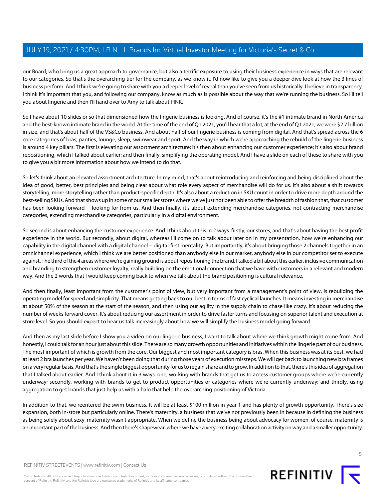our Board, who bring us a great approach to governance, but also a terrific exposure to using their business experience in ways that are relevant to our categories. So that's the overarching tier for the company, as we know it. I'd now like to give you a deeper dive look at how the 3 lines of business perform. And I think we're going to share with you a deeper level of reveal than you've seen from us historically. I believe in transparency. I think it's important that you, and following our company, know as much as is possible about the way that we're running the business. So I'll tell you about lingerie and then I'll hand over to Amy to talk about PINK.

So I have about 10 slides or so that dimensioned how the lingerie business is looking. And of course, it's the #1 intimate brand in North America and the best-known intimate brand in the world. At the time of the end of Q1 2021, you'll hear that a lot, at the end of Q1 2021, we were \$2.7 billion in size, and that's about half of the VS&Co business. And about half of our lingerie business is coming from digital. And that's spread across the 6 core categories of bras, panties, lounge, sleep, swimwear and sport. And the way in which we're approaching the rebuild of the lingerie business is around 4 key pillars: The first is elevating our assortment architecture; it's then about enhancing our customer experience; it's also about brand repositioning, which I talked about earlier; and then finally, simplifying the operating model. And I have a slide on each of these to share with you to give you a bit more information about how we intend to do that.

So let's think about an elevated assortment architecture. In my mind, that's about reintroducing and reinforcing and being disciplined about the idea of good, better, best principles and being clear about what role every aspect of merchandise will do for us. It's also about a shift towards storytelling, more storytelling rather than product-specific depth. It's also about a reduction in SKU count in order to drive more depth around the best-selling SKUs. And that shows up in some of our smaller stores where we've just not been able to offer the breadth of fashion that, that customer has been looking forward -- looking for from us. And then finally, it's about extending merchandise categories, not contracting merchandise categories, extending merchandise categories, particularly in a digital environment.

So second is about enhancing the customer experience. And I think about this in 2 ways: firstly, our stores, and that's about having the best profit experience in the world. But secondly, about digital, whereas I'll come on to talk about later on in my presentation, how we're enhancing our capability in the digital channel with a digital channel -- digital-first mentality. But importantly, it's about bringing those 2 channels together in an omnichannel experience, which I think we are better positioned than anybody else in our market, anybody else in our competitor set to execute against. The third of the 4 areas where we're gaining ground is about repositioning the brand. I talked a bit about this earlier, inclusive communication and branding to strengthen customer loyalty, really building on the emotional connection that we have with customers in a relevant and modern way. And the 2 words that I would keep coming back to when we talk about the brand positioning is cultural relevance.

And then finally, least important from the customer's point of view, but very important from a management's point of view, is rebuilding the operating model for speed and simplicity. That means getting back to our best in terms of fast cyclical launches. It means investing in merchandise at about 50% of the season at the start of the season, and then using our agility in the supply chain to chase like crazy. It's about reducing the number of weeks forward cover. It's about reducing our assortment in order to drive faster turns and focusing on superior talent and execution at store level. So you should expect to hear us talk increasingly about how we will simplify the business model going forward.

And then as my last slide before I show you a video on our lingerie business, I want to talk about where we think growth might come from. And honestly, I could talk for an hour just about this slide. There are so many growth opportunities and initiatives within the lingerie part of our business. The most important of which is growth from the core. Our biggest and most important category is bras. When this business was at its best, we had at least 2 bra launches per year. We haven't been doing that during those years of execution missteps. We will get back to launching new bra frames on a very regular basis. And that's the single biggest opportunity for us to regain share and to grow. In addition to that, there's this idea of aggregation that I talked about earlier. And I think about it in 3 ways: one, working with brands that get us to access customer groups where we're currently underway; secondly, working with brands to get to product opportunities or categories where we're currently underway; and thirdly, using aggregation to get brands that just help us with a halo that help the overarching positioning of Victoria.

In addition to that, we reentered the swim business. It will be at least \$100 million in year 1 and has plenty of growth opportunity. There's size expansion, both in-store but particularly online. There's maternity, a business that we've not previously been in because in defining the business as being solely about sexy, maternity wasn't appropriate. When we define the business being about advocacy for women, of course, maternity is an important part of the business. And then there's shapewear, where we have a very exciting collaboration activity on way and a smaller opportunity.

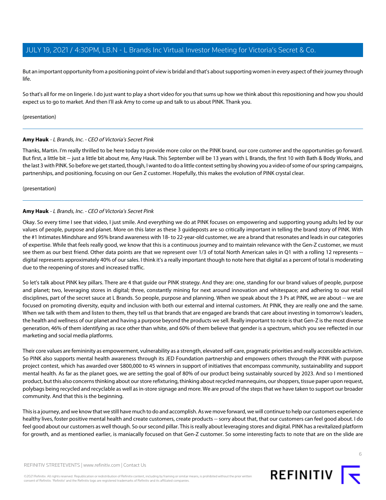But an important opportunity from a positioning point of view is bridal and that's about supporting women in every aspect of their journey through life.

So that's all for me on lingerie. I do just want to play a short video for you that sums up how we think about this repositioning and how you should expect us to go to market. And then I'll ask Amy to come up and talk to us about PINK. Thank you.

#### <span id="page-5-0"></span>(presentation)

# **Amy Hauk** - L Brands, Inc. - CEO of Victoria's Secret Pink

Thanks, Martin. I'm really thrilled to be here today to provide more color on the PINK brand, our core customer and the opportunities go forward. But first, a little bit -- just a little bit about me, Amy Hauk. This September will be 13 years with L Brands, the first 10 with Bath & Body Works, and the last 3 with PINK. So before we get started, though, I wanted to do a little context setting by showing you a video of some of our spring campaigns, partnerships, and positioning, focusing on our Gen Z customer. Hopefully, this makes the evolution of PINK crystal clear.

(presentation)

#### **Amy Hauk** - L Brands, Inc. - CEO of Victoria's Secret Pink

Okay. So every time I see that video, I just smile. And everything we do at PINK focuses on empowering and supporting young adults led by our values of people, purpose and planet. More on this later as these 3 guideposts are so critically important in telling the brand story of PINK. With the #1 Intimates Mindshare and 95% brand awareness with 18- to 22-year-old customer, we are a brand that resonates and leads in our categories of expertise. While that feels really good, we know that this is a continuous journey and to maintain relevance with the Gen-Z customer, we must see them as our best friend. Other data points are that we represent over 1/3 of total North American sales in Q1 with a rolling 12 represents -digital represents approximately 40% of our sales. I think it's a really important though to note here that digital as a percent of total is moderating due to the reopening of stores and increased traffic.

So let's talk about PINK key pillars. There are 4 that guide our PINK strategy. And they are: one, standing for our brand values of people, purpose and planet; two, leveraging stores in digital; three, constantly mining for next around innovation and whitespace; and adhering to our retail disciplines, part of the secret sauce at L Brands. So people, purpose and planning. When we speak about the 3 Ps at PINK, we are about -- we are focused on promoting diversity, equity and inclusion with both our external and internal customers. At PINK, they are really one and the same. When we talk with them and listen to them, they tell us that brands that are engaged are brands that care about investing in tomorrow's leaders, the health and wellness of our planet and having a purpose beyond the products we sell. Really important to note is that Gen-Z is the most diverse generation, 46% of them identifying as race other than white, and 60% of them believe that gender is a spectrum, which you see reflected in our marketing and social media platforms.

Their core values are femininity as empowerment, vulnerability as a strength, elevated self-care, pragmatic priorities and really accessible activism. So PINK also supports mental health awareness through its JED Foundation partnership and empowers others through the PINK with purpose project contest, which has awarded over \$800,000 to 45 winners in support of initiatives that encompass community, sustainability and support mental health. As far as the planet goes, we are setting the goal of 80% of our product being sustainably sourced by 2023. And so I mentioned product, but this also concerns thinking about our store refixturing, thinking about recycled mannequins, our shoppers, tissue paper upon request, polybags being recycled and recyclable as well as in-store signage and more. We are proud of the steps that we have taken to support our broader community. And that this is the beginning.

This is a journey, and we know that we still have much to do and accomplish. As we move forward, we will continue to help our customers experience healthy lives, foster positive mental health and create customers, create products -- sorry about that, that our customers can feel good about. I do feel good about our customers as well though. So our second pillar. This is really about leveraging stores and digital. PINK has a revitalized platform for growth, and as mentioned earlier, is maniacally focused on that Gen-Z customer. So some interesting facts to note that are on the slide are

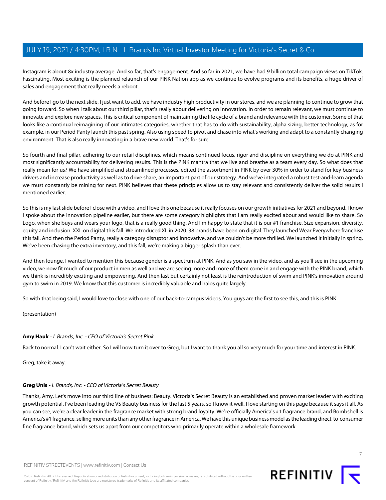Instagram is about 8x industry average. And so far, that's engagement. And so far in 2021, we have had 9 billion total campaign views on TikTok. Fascinating. Most exciting is the planned relaunch of our PINK Nation app as we continue to evolve programs and its benefits, a huge driver of sales and engagement that really needs a reboot.

And before I go to the next slide, I just want to add, we have industry high productivity in our stores, and we are planning to continue to grow that going forward. So when I talk about our third pillar, that's really about delivering on innovation. In order to remain relevant, we must continue to innovate and explore new spaces. This is critical component of maintaining the life cycle of a brand and relevance with the customer. Some of that looks like a continual reimagining of our intimates categories, whether that has to do with sustainability, alpha sizing, better technology, as for example, in our Period Panty launch this past spring. Also using speed to pivot and chase into what's working and adapt to a constantly changing environment. That is also really innovating in a brave new world. That's for sure.

So fourth and final pillar, adhering to our retail disciplines, which means continued focus, rigor and discipline on everything we do at PINK and most significantly accountability for delivering results. This is the PINK mantra that we live and breathe as a team every day. So what does that really mean for us? We have simplified and streamlined processes, edited the assortment in PINK by over 30% in order to stand for key business drivers and increase productivity as well as to drive share, an important part of our strategy. And we've integrated a robust test-and-learn agenda we must constantly be mining for next. PINK believes that these principles allow us to stay relevant and consistently deliver the solid results I mentioned earlier.

So this is my last slide before I close with a video, and I love this one because it really focuses on our growth initiatives for 2021 and beyond. I know I spoke about the innovation pipeline earlier, but there are some category highlights that I am really excited about and would like to share. So Logo, when she buys and wears your logo, that is a really good thing. And I'm happy to state that it is our #1 franchise. Size expansion, diversity, equity and inclusion. XXL on digital this fall. We introduced XL in 2020. 38 brands have been on digital. They launched Wear Everywhere franchise this fall. And then the Period Panty, really a category disruptor and innovative, and we couldn't be more thrilled. We launched it initially in spring. We've been chasing the extra inventory, and this fall, we're making a bigger splash than ever.

And then lounge, I wanted to mention this because gender is a spectrum at PINK. And as you saw in the video, and as you'll see in the upcoming video, we now fit much of our product in men as well and we are seeing more and more of them come in and engage with the PINK brand, which we think is incredibly exciting and empowering. And then last but certainly not least is the reintroduction of swim and PINK's innovation around gym to swim in 2019. We know that this customer is incredibly valuable and halos quite largely.

So with that being said, I would love to close with one of our back-to-campus videos. You guys are the first to see this, and this is PINK.

(presentation)

# **Amy Hauk** - L Brands, Inc. - CEO of Victoria's Secret Pink

<span id="page-6-0"></span>Back to normal. I can't wait either. So I will now turn it over to Greg, but I want to thank you all so very much for your time and interest in PINK.

Greg, take it away.

#### **Greg Unis** - L Brands, Inc. - CEO of Victoria's Secret Beauty

Thanks, Amy. Let's move into our third line of business: Beauty. Victoria's Secret Beauty is an established and proven market leader with exciting growth potential. I've been leading the VS Beauty business for the last 5 years, so I know it well. I love starting on this page because it says it all. As you can see, we're a clear leader in the fragrance market with strong brand loyalty. We're officially America's #1 fragrance brand, and Bombshell is America's #1 fragrance, selling more units than any other fragrance in America. We have this unique business model as the leading direct-to-consumer fine fragrance brand, which sets us apart from our competitors who primarily operate within a wholesale framework.

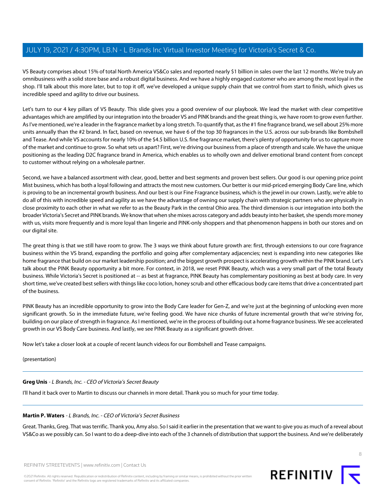VS Beauty comprises about 15% of total North America VS&Co sales and reported nearly \$1 billion in sales over the last 12 months. We're truly an omnibusiness with a solid store base and a robust digital business. And we have a highly engaged customer who are among the most loyal in the shop. I'll talk about this more later, but to top it off, we've developed a unique supply chain that we control from start to finish, which gives us incredible speed and agility to drive our business.

Let's turn to our 4 key pillars of VS Beauty. This slide gives you a good overview of our playbook. We lead the market with clear competitive advantages which are amplified by our integration into the broader VS and PINK brands and the great thing is, we have room to grow even further. As I've mentioned, we're a leader in the fragrance market by a long stretch. To quantify that, as the #1 fine fragrance brand, we sell about 25% more units annually than the #2 brand. In fact, based on revenue, we have 6 of the top 30 fragrances in the U.S. across our sub-brands like Bombshell and Tease. And while VS accounts for nearly 10% of the \$4.5 billion U.S. fine fragrance market, there's plenty of opportunity for us to capture more of the market and continue to grow. So what sets us apart? First, we're driving our business from a place of strength and scale. We have the unique positioning as the leading D2C fragrance brand in America, which enables us to wholly own and deliver emotional brand content from concept to customer without relying on a wholesale partner.

Second, we have a balanced assortment with clear, good, better and best segments and proven best sellers. Our good is our opening price point Mist business, which has both a loyal following and attracts the most new customers. Our better is our mid-priced emerging Body Care line, which is proving to be an incremental growth business. And our best is our Fine Fragrance business, which is the jewel in our crown. Lastly, we're able to do all of this with incredible speed and agility as we have the advantage of owning our supply chain with strategic partners who are physically in close proximity to each other in what we refer to as the Beauty Park in the central Ohio area. The third dimension is our integration into both the broader Victoria's Secret and PINK brands. We know that when she mixes across category and adds beauty into her basket, she spends more money with us, visits more frequently and is more loyal than lingerie and PINK-only shoppers and that phenomenon happens in both our stores and on our digital site.

The great thing is that we still have room to grow. The 3 ways we think about future growth are: first, through extensions to our core fragrance business within the VS brand, expanding the portfolio and going after complementary adjacencies; next is expanding into new categories like home fragrance that build on our market leadership position; and the biggest growth prospect is accelerating growth within the PINK brand. Let's talk about the PINK Beauty opportunity a bit more. For context, in 2018, we reset PINK Beauty, which was a very small part of the total Beauty business. While Victoria's Secret is positioned at -- as best at fragrance, PINK Beauty has complementary positioning as best at body care. In very short time, we've created best sellers with things like coco lotion, honey scrub and other efficacious body care items that drive a concentrated part of the business.

PINK Beauty has an incredible opportunity to grow into the Body Care leader for Gen-Z, and we're just at the beginning of unlocking even more significant growth. So in the immediate future, we're feeling good. We have nice chunks of future incremental growth that we're striving for, building on our place of strength in fragrance. As I mentioned, we're in the process of building out a home fragrance business. We see accelerated growth in our VS Body Care business. And lastly, we see PINK Beauty as a significant growth driver.

Now let's take a closer look at a couple of recent launch videos for our Bombshell and Tease campaigns.

(presentation)

# **Greg Unis** - L Brands, Inc. - CEO of Victoria's Secret Beauty

I'll hand it back over to Martin to discuss our channels in more detail. Thank you so much for your time today.

# **Martin P. Waters** - L Brands, Inc. - CEO of Victoria's Secret Business

Great. Thanks, Greg. That was terrific. Thank you, Amy also. So I said it earlier in the presentation that we want to give you as much of a reveal about VS&Co as we possibly can. So I want to do a deep-dive into each of the 3 channels of distribution that support the business. And we're deliberately

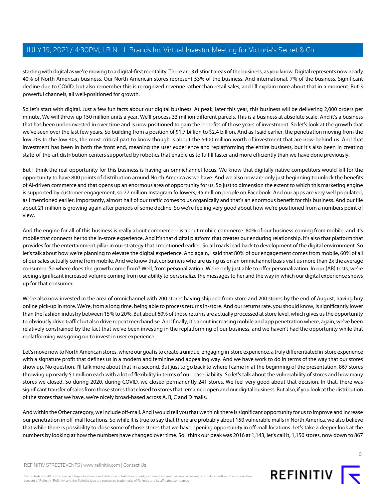starting with digital as we're moving to a digital-first mentality. There are 3 distinct areas of the business, as you know. Digital represents now nearly 40% of North American business. Our North American stores represent 53% of the business. And international, 7% of the business. Significant decline due to COVID, but also remember this is recognized revenue rather than retail sales, and I'll explain more about that in a moment. But 3 powerful channels, all well-positioned for growth.

So let's start with digital. Just a few fun facts about our digital business. At peak, later this year, this business will be delivering 2,000 orders per minute. We will throw up 150 million units a year. We'll process 33 million different parcels. This is a business at absolute scale. And it's a business that has been underinvested in over time and is now positioned to gain the benefits of those years of investment. So let's look at the growth that we've seen over the last few years. So building from a position of \$1.7 billion to \$2.4 billion. And as I said earlier, the penetration moving from the low 20s to the low 40s, the most critical part to know though is about the \$400 million worth of investment that are now behind us. And that investment has been in both the front end, meaning the user experience and replatforming the entire business, but it's also been in creating state-of-the-art distribution centers supported by robotics that enable us to fulfill faster and more efficiently than we have done previously.

But I think the real opportunity for this business is having an omnichannel focus. We know that digitally native competitors would kill for the opportunity to have 800 points of distribution around North America as we have. And we also now are only just beginning to unlock the benefits of AI-driven commerce and that opens up an enormous area of opportunity for us. So just to dimension the extent to which this marketing engine is supported by customer engagement, so 77 million Instagram followers, 45 million people on Facebook. And our apps are very well populated, as I mentioned earlier. Importantly, almost half of our traffic comes to us organically and that's an enormous benefit for this business. And our file about 21 million is growing again after periods of some decline. So we're feeling very good about how we're positioned from a numbers point of view.

And the engine for all of this business is really about commerce -- is about mobile commerce. 80% of our business coming from mobile, and it's mobile that connects her to the in-store experience. And it's that digital platform that creates our enduring relationship. It's also that platform that provides for the entertainment pillar in our strategy that I mentioned earlier. So all roads lead back to development of the digital environment. So let's talk about how we're planning to elevate the digital experience. And again, I said that 80% of our engagement comes from mobile, 60% of all of our sales actually come from mobile. And we know that consumers who are using us on an omnichannel basis visit us more than 2x the average consumer. So where does the growth come from? Well, from personalization. We're only just able to offer personalization. In our [AB] tests, we're seeing significant increased volume coming from our ability to personalize the messages to her and the way in which our digital experience shows up for that consumer.

We're also now invested in the area of omnichannel with 200 stores having shipped from store and 200 stores by the end of August, having buy online pick-up in store. We're, from a long time, being able to process returns in-store. And our returns rate, you should know, is significantly lower than the fashion industry between 15% to 20%. But about 60% of those returns are actually processed at store level, which gives us the opportunity to obviously drive traffic but also drive repeat merchandise. And finally, it's about increasing mobile and app penetration where, again, we've been relatively constrained by the fact that we've been investing in the replatforming of our business, and we haven't had the opportunity while that replatforming was going on to invest in user experience.

Let's move now to North American stores, where our goal is to create a unique, engaging in-store experience, a truly differentiated in-store experience with a signature profit that defines us in a modern and feminine and appealing way. And we have work to do in terms of the way that our stores show up. No question, I'll talk more about that in a second. But just to go back to where I came in at the beginning of the presentation, 867 stores throwing up nearly \$1 million each with a lot of flexibility in terms of our lease liability. So let's talk about the vulnerability of stores and how many stores we closed. So during 2020, during COVID, we closed permanently 241 stores. We feel very good about that decision. In that, there was significant transfer of sales from those stores that closed to stores that remained open and our digital business. But also, if you look at the distribution of the stores that we have, we're nicely broad-based across A, B, C and D malls.

And within the Other category, we include off-mall. And I would tell you that we think there is significant opportunity for us to improve and increase our penetration in off-mall locations. So while it is true to say that there are probably about 150 vulnerable malls in North America, we also believe that while there is possibility to close some of those stores that we have opening opportunity in off-mall locations. Let's take a deeper look at the numbers by looking at how the numbers have changed over time. So I think our peak was 2016 at 1,143, let's call it, 1,150 stores, now down to 867

©2021 Refinitiv. All rights reserved. Republication or redistribution of Refinitiv content, including by framing or similar means, is prohibited without the prior written consent of Refinitiv. 'Refinitiv' and the Refinitiv logo are registered trademarks of Refinitiv and its affiliated companies.

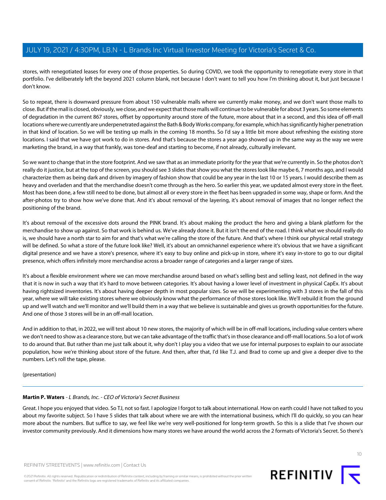stores, with renegotiated leases for every one of those properties. So during COVID, we took the opportunity to renegotiate every store in that portfolio. I've deliberately left the beyond 2021 column blank, not because I don't want to tell you how I'm thinking about it, but just because I don't know.

So to repeat, there is downward pressure from about 150 vulnerable malls where we currently make money, and we don't want those malls to close. But if the mall is closed, obviously, we close, and we expect that those malls will continue to be vulnerable for about 3 years. So some elements of degradation in the current 867 stores, offset by opportunity around store of the future, more about that in a second, and this idea of off-mall locations where we currently are underpenetrated against the Bath & Body Works company, for example, which has significantly higher penetration in that kind of location. So we will be testing up malls in the coming 18 months. So I'd say a little bit more about refreshing the existing store locations. I said that we have got work to do in stores. And that's because the stores a year ago showed up in the same way as the way we were marketing the brand, in a way that frankly, was tone-deaf and starting to become, if not already, culturally irrelevant.

So we want to change that in the store footprint. And we saw that as an immediate priority for the year that we're currently in. So the photos don't really do it justice, but at the top of the screen, you should see 3 slides that show you what the stores look like maybe 6, 7 months ago, and I would characterize them as being dark and driven by imagery of fashion show that could be any year in the last 10 or 15 years. I would describe them as heavy and overladen and that the merchandise doesn't come through as the hero. So earlier this year, we updated almost every store in the fleet. Most has been done, a few still need to be done, but almost all or every store in the fleet has been upgraded in some way, shape or form. And the after-photos try to show how we've done that. And it's about removal of the layering, it's about removal of images that no longer reflect the positioning of the brand.

It's about removal of the excessive dots around the PINK brand. It's about making the product the hero and giving a blank platform for the merchandise to show up against. So that work is behind us. We've already done it. But it isn't the end of the road. I think what we should really do is, we should have a north star to aim for and that's what we're calling the store of the future. And that's where I think our physical retail strategy will be defined. So what a store of the future look like? Well, it's about an omnichannel experience where it's obvious that we have a significant digital presence and we have a store's presence, where it's easy to buy online and pick-up in store, where it's easy in-store to go to our digital presence, which offers infinitely more merchandise across a broader range of categories and a larger range of sizes.

It's about a flexible environment where we can move merchandise around based on what's selling best and selling least, not defined in the way that it is now in such a way that it's hard to move between categories. It's about having a lower level of investment in physical CapEx. It's about having rightsized inventories. It's about having deeper depth in most popular sizes. So we will be experimenting with 3 stores in the fall of this year, where we will take existing stores where we obviously know what the performance of those stores look like. We'll rebuild it from the ground up and we'll watch and we'll monitor and we'll build them in a way that we believe is sustainable and gives us growth opportunities for the future. And one of those 3 stores will be in an off-mall location.

And in addition to that, in 2022, we will test about 10 new stores, the majority of which will be in off-mall locations, including value centers where we don't need to show as a clearance store, but we can take advantage of the traffic that's in those clearance and off-mall locations. So a lot of work to do around that. But rather than me just talk about it, why don't I play you a video that we use for internal purposes to explain to our associate population, how we're thinking about store of the future. And then, after that, I'd like T.J. and Brad to come up and give a deeper dive to the numbers. Let's roll the tape, please.

(presentation)

# **Martin P. Waters** - L Brands, Inc. - CEO of Victoria's Secret Business

Great. I hope you enjoyed that video. So TJ, not so fast. I apologize I forgot to talk about international. How on earth could I have not talked to you about my favorite subject. So I have 5 slides that talk about where we are with the international business, which I'll do quickly, so you can hear more about the numbers. But suffice to say, we feel like we're very well-positioned for long-term growth. So this is a slide that I've shown our investor community previously. And it dimensions how many stores we have around the world across the 2 formats of Victoria's Secret. So there's

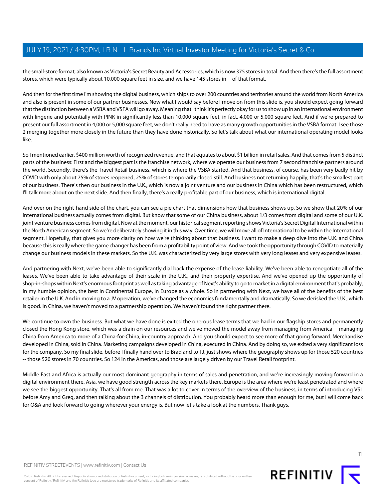the small-store format, also known as Victoria's Secret Beauty and Accessories, which is now 375 stores in total. And then there's the full assortment stores, which were typically about 10,000 square feet in size, and we have 145 stores in -- of that format.

And then for the first time I'm showing the digital business, which ships to over 200 countries and territories around the world from North America and also is present in some of our partner businesses. Now what I would say before I move on from this slide is, you should expect going forward that the distinction between a VSBA and VSFA will go away. Meaning that I think it's perfectly okay for us to show up in an international environment with lingerie and potentially with PINK in significantly less than 10,000 square feet, in fact, 4,000 or 5,000 square feet. And if we're prepared to present our full assortment in 4,000 or 5,000 square feet, we don't really need to have as many growth opportunities in the VSBA format. I see those 2 merging together more closely in the future than they have done historically. So let's talk about what our international operating model looks like.

So I mentioned earlier, \$400 million worth of recognized revenue, and that equates to about \$1 billion in retail sales. And that comes from 5 distinct parts of the business: First and the biggest part is the franchise network, where we operate our business from 7 second franchise partners around the world. Secondly, there's the Travel Retail business, which is where the VSBA started. And that business, of course, has been very badly hit by COVID with only about 75% of stores reopened, 25% of stores temporarily closed still. And business not returning happily, that's the smallest part of our business. There's then our business in the U.K., which is now a joint venture and our business in China which has been restructured, which I'll talk more about on the next slide. And then finally, there's a really profitable part of our business, which is international digital.

And over on the right-hand side of the chart, you can see a pie chart that dimensions how that business shows up. So we show that 20% of our international business actually comes from digital. But know that some of our China business, about 1/3 comes from digital and some of our U.K. joint venture business comes from digital. Now at the moment, our historical segment reporting shows Victoria's Secret Digital International within the North American segment. So we're deliberately showing it in this way. Over time, we will move all of International to be within the International segment. Hopefully, that gives you more clarity on how we're thinking about that business. I want to make a deep dive into the U.K. and China because this is really where the game changer has been from a profitability point of view. And we took the opportunity through COVID to materially change our business models in these markets. So the U.K. was characterized by very large stores with very long leases and very expensive leases.

And partnering with Next, we've been able to significantly dial back the expense of the lease liability. We've been able to renegotiate all of the leases. We've been able to take advantage of their scale in the U.K., and their property expertise. And we've opened up the opportunity of shop-in-shops within Next's enormous footprint as well as taking advantage of Next's ability to go to market in a digital environment that's probably, in my humble opinion, the best in Continental Europe, in Europe as a whole. So in partnering with Next, we have all of the benefits of the best retailer in the U.K. And in moving to a JV operation, we've changed the economics fundamentally and dramatically. So we derisked the U.K., which is good. In China, we haven't moved to a partnership operation. We haven't found the right partner there.

We continue to own the business. But what we have done is exited the onerous lease terms that we had in our flagship stores and permanently closed the Hong Kong store, which was a drain on our resources and we've moved the model away from managing from America -- managing China from America to more of a China-for-China, in-country approach. And you should expect to see more of that going forward. Merchandise developed in China, sold in China. Marketing campaigns developed in China, executed in China. And by doing so, we exited a very significant loss for the company. So my final slide, before I finally hand over to Brad and to TJ, just shows where the geography shows up for those 520 countries -- those 520 stores in 70 countries. So 124 in the Americas, and those are largely driven by our Travel Retail footprint.

Middle East and Africa is actually our most dominant geography in terms of sales and penetration, and we're increasingly moving forward in a digital environment there. Asia, we have good strength across the key markets there. Europe is the area where we're least penetrated and where we see the biggest opportunity. That's all from me. That was a lot to cover in terms of the overview of the business, in terms of introducing VSL before Amy and Greg, and then talking about the 3 channels of distribution. You probably heard more than enough for me, but I will come back for Q&A and look forward to going wherever your energy is. But now let's take a look at the numbers. Thank guys.

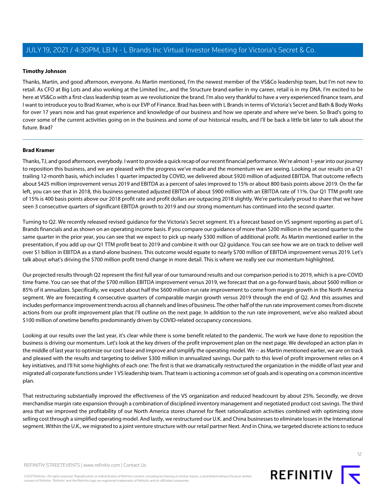# <span id="page-11-1"></span>**Timothy Johnson**

Thanks, Martin, and good afternoon, everyone. As Martin mentioned, I'm the newest member of the VS&Co leadership team, but I'm not new to retail. As CFO at Big Lots and also working at the Limited Inc., and the Structure brand earlier in my career, retail is in my DNA. I'm excited to be here at VS&Co with a first-class leadership team as we revolutionize the brand. I'm also very thankful to have a very experienced finance team, and I want to introduce you to Brad Kramer, who is our EVP of Finance. Brad has been with L Brands in terms of Victoria's Secret and Bath & Body Works for over 17 years now and has great experience and knowledge of our business and how we operate and where we've been. So Brad's going to cover some of the current activities going on in the business and some of our historical results, and I'll be back a little bit later to talk about the future. Brad?

#### <span id="page-11-0"></span>**Brad Kramer**

Thanks, TJ, and good afternoon, everybody. I want to provide a quick recap of our recent financial performance. We're almost 1-year into our journey to reposition this business, and we are pleased with the progress we've made and the momentum we are seeing. Looking at our results on a Q1 trailing 12-month basis, which includes 1 quarter impacted by COVID, we delivered about \$920 million of adjusted EBITDA. That outcome reflects about \$425 million improvement versus 2019 and EBITDA as a percent of sales improved to 15% or about 800 basis points above 2019. On the far left, you can see that in 2018, this business generated adjusted EBITDA of about \$900 million with an EBITDA rate of 11%. Our Q1 TTM profit rate of 15% is 400 basis points above our 2018 profit rate and profit dollars are outpacing 2018 slightly. We're particularly proud to share that we have seen 3 consecutive quarters of significant EBITDA growth to 2019 and our strong momentum has continued into the second quarter.

Turning to Q2. We recently released revised guidance for the Victoria's Secret segment. It's a forecast based on VS segment reporting as part of L Brands financials and as shown on an operating income basis. If you compare our guidance of more than \$200 million in the second quarter to the same quarter in the prior year, you can see that we expect to pick up nearly \$300 million of additional profit. As Martin mentioned earlier in the presentation, if you add up our Q1 TTM profit beat to 2019 and combine it with our Q2 guidance. You can see how we are on track to deliver well over \$1 billion in EBITDA as a stand-alone business. This outcome would equate to nearly \$700 million of EBITDA improvement versus 2019. Let's talk about what's driving the \$700 million profit trend change in more detail. This is where we really see our momentum highlighted.

Our projected results through Q2 represent the first full year of our turnaround results and our comparison period is to 2019, which is a pre-COVID time frame. You can see that of the \$700 million EBITDA improvement versus 2019, we forecast that on a go-forward basis, about \$600 million or 85% of it annualizes. Specifically, we expect about half the \$600 million run rate improvement to come from margin growth in the North America segment. We are forecasting 4 consecutive quarters of comparable margin growth versus 2019 through the end of Q2. And this assumes and includes performance improvement trends across all channels and lines of business. The other half of the run rate improvement comes from discrete actions from our profit improvement plan that I'll outline on the next page. In addition to the run rate improvement, we've also realized about \$100 million of onetime benefits predominantly driven by COVID-related occupancy concessions.

Looking at our results over the last year, it's clear while there is some benefit related to the pandemic. The work we have done to reposition the business is driving our momentum. Let's look at the key drivers of the profit improvement plan on the next page. We developed an action plan in the middle of last year to optimize our cost base and improve and simplify the operating model. We -- as Martin mentioned earlier, we are on track and pleased with the results and targeting to deliver \$300 million in annualized savings. Our path to this level of profit improvement relies on 4 key initiatives, and I'll hit some highlights of each one: The first is that we dramatically restructured the organization in the middle of last year and migrated all corporate functions under 1 VS leadership team. That team is actioning a common set of goals and is operating on a common incentive plan.

That restructuring substantially improved the effectiveness of the VS organization and reduced headcount by about 25%. Secondly, we drove merchandise margin rate expansion through a combination of disciplined inventory management and negotiated product cost savings. The third area that we improved the profitability of our North America stores channel for fleet rationalization activities combined with optimizing store selling cost through a simplified operating model. And lastly, we restructured our U.K. and China businesses to eliminate losses in the International segment. Within the U.K., we migrated to a joint venture structure with our retail partner Next. And in China, we targeted discrete actions to reduce

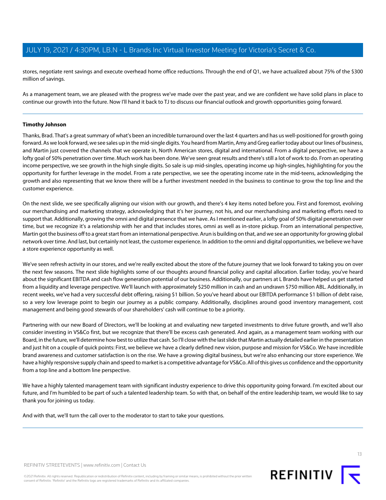stores, negotiate rent savings and execute overhead home office reductions. Through the end of Q1, we have actualized about 75% of the \$300 million of savings.

As a management team, we are pleased with the progress we've made over the past year, and we are confident we have solid plans in place to continue our growth into the future. Now I'll hand it back to TJ to discuss our financial outlook and growth opportunities going forward.

#### **Timothy Johnson**

Thanks, Brad. That's a great summary of what's been an incredible turnaround over the last 4 quarters and has us well-positioned for growth going forward. As we look forward, we see sales up in the mid-single digits. You heard from Martin, Amy and Greg earlier today about our lines of business, and Martin just covered the channels that we operate in, North American stores, digital and international. From a digital perspective, we have a lofty goal of 50% penetration over time. Much work has been done. We've seen great results and there's still a lot of work to do. From an operating income perspective, we see growth in the high single digits. So sale is up mid-singles, operating income up high-singles, highlighting for you the opportunity for further leverage in the model. From a rate perspective, we see the operating income rate in the mid-teens, acknowledging the growth and also representing that we know there will be a further investment needed in the business to continue to grow the top line and the customer experience.

On the next slide, we see specifically aligning our vision with our growth, and there's 4 key items noted before you. First and foremost, evolving our merchandising and marketing strategy, acknowledging that it's her journey, not his, and our merchandising and marketing efforts need to support that. Additionally, growing the omni and digital presence that we have. As I mentioned earlier, a lofty goal of 50% digital penetration over time, but we recognize it's a relationship with her and that includes stores, omni as well as in-store pickup. From an international perspective, Martin got the business off to a great start from an international perspective. Arun is building on that, and we see an opportunity for growing global network over time. And last, but certainly not least, the customer experience. In addition to the omni and digital opportunities, we believe we have a store experience opportunity as well.

We've seen refresh activity in our stores, and we're really excited about the store of the future journey that we look forward to taking you on over the next few seasons. The next slide highlights some of our thoughts around financial policy and capital allocation. Earlier today, you've heard about the significant EBITDA and cash flow generation potential of our business. Additionally, our partners at L Brands have helped us get started from a liquidity and leverage perspective. We'll launch with approximately \$250 million in cash and an undrawn \$750 million ABL. Additionally, in recent weeks, we've had a very successful debt offering, raising \$1 billion. So you've heard about our EBITDA performance \$1 billion of debt raise, so a very low leverage point to begin our journey as a public company. Additionally, disciplines around good inventory management, cost management and being good stewards of our shareholders' cash will continue to be a priority.

Partnering with our new Board of Directors, we'll be looking at and evaluating new targeted investments to drive future growth, and we'll also consider investing in VS&Co first, but we recognize that there'll be excess cash generated. And again, as a management team working with our Board, in the future, we'll determine how best to utilize that cash. So I'll close with the last slide that Martin actually detailed earlier in the presentation and just hit on a couple of quick points: First, we believe we have a clearly defined new vision, purpose and mission for VS&Co. We have incredible brand awareness and customer satisfaction is on the rise. We have a growing digital business, but we're also enhancing our store experience. We have a highly responsive supply chain and speed to market is a competitive advantage for VS&Co. All of this gives us confidence and the opportunity from a top line and a bottom line perspective.

We have a highly talented management team with significant industry experience to drive this opportunity going forward. I'm excited about our future, and I'm humbled to be part of such a talented leadership team. So with that, on behalf of the entire leadership team, we would like to say thank you for joining us today.

And with that, we'll turn the call over to the moderator to start to take your questions.

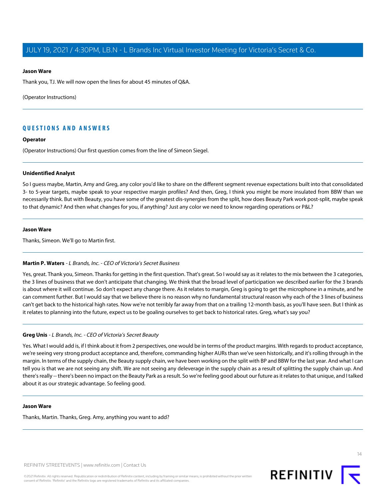#### **Jason Ware**

Thank you, TJ. We will now open the lines for about 45 minutes of Q&A.

(Operator Instructions)

# **QUESTIONS AND ANSWERS**

#### **Operator**

(Operator Instructions) Our first question comes from the line of Simeon Siegel.

#### **Unidentified Analyst**

So I guess maybe, Martin, Amy and Greg, any color you'd like to share on the different segment revenue expectations built into that consolidated 3- to 5-year targets, maybe speak to your respective margin profiles? And then, Greg, I think you might be more insulated from BBW than we necessarily think. But with Beauty, you have some of the greatest dis-synergies from the split, how does Beauty Park work post-split, maybe speak to that dynamic? And then what changes for you, if anything? Just any color we need to know regarding operations or P&L?

#### **Jason Ware**

Thanks, Simeon. We'll go to Martin first.

#### **Martin P. Waters** - L Brands, Inc. - CEO of Victoria's Secret Business

Yes, great. Thank you, Simeon. Thanks for getting in the first question. That's great. So I would say as it relates to the mix between the 3 categories, the 3 lines of business that we don't anticipate that changing. We think that the broad level of participation we described earlier for the 3 brands is about where it will continue. So don't expect any change there. As it relates to margin, Greg is going to get the microphone in a minute, and he can comment further. But I would say that we believe there is no reason why no fundamental structural reason why each of the 3 lines of business can't get back to the historical high rates. Now we're not terribly far away from that on a trailing 12-month basis, as you'll have seen. But I think as it relates to planning into the future, expect us to be goaling ourselves to get back to historical rates. Greg, what's say you?

#### **Greg Unis** - L Brands, Inc. - CEO of Victoria's Secret Beauty

Yes. What I would add is, if I think about it from 2 perspectives, one would be in terms of the product margins. With regards to product acceptance, we're seeing very strong product acceptance and, therefore, commanding higher AURs than we've seen historically, and it's rolling through in the margin. In terms of the supply chain, the Beauty supply chain, we have been working on the split with BP and BBW for the last year. And what I can tell you is that we are not seeing any shift. We are not seeing any deleverage in the supply chain as a result of splitting the supply chain up. And there's really -- there's been no impact on the Beauty Park as a result. So we're feeling good about our future as it relates to that unique, and I talked about it as our strategic advantage. So feeling good.

#### **Jason Ware**

Thanks, Martin. Thanks, Greg. Amy, anything you want to add?

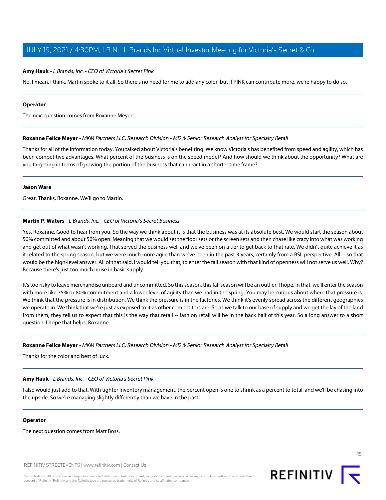#### **Amy Hauk** - L Brands, Inc. - CEO of Victoria's Secret Pink

No. I mean, I think, Martin spoke to it all. So there's no need for me to add any color, but if PINK can contribute more, we're happy to do so.

#### **Operator**

<span id="page-14-0"></span>The next question comes from Roxanne Meyer.

#### **Roxanne Felice Meyer** - MKM Partners LLC, Research Division - MD & Senior Research Analyst for Specialty Retail

Thanks for all of the information today. You talked about Victoria's benefiting. We know Victoria's has benefited from speed and agility, which has been competitive advantages. What percent of the business is on the speed model? And how should we think about the opportunity? What are you targeting in terms of growing the portion of the business that can react in a shorter time frame?

#### **Jason Ware**

Great. Thanks, Roxanne. We'll go to Martin.

#### **Martin P. Waters** - L Brands, Inc. - CEO of Victoria's Secret Business

Yes, Roxanne. Good to hear from you. So the way we think about it is that the business was at its absolute best. We would start the season about 50% committed and about 50% open. Meaning that we would set the floor sets or the screen sets and then chase like crazy into what was working and get out of what wasn't working. That served the business well and we've been on a tier to get back to that rate. We didn't quite achieve it as it related to the spring season, but we were much more agile than we've been in the past 3 years, certainly from a BSL perspective. All -- so that would be the high-level answer. All of that said, I would tell you that, to enter the fall season with that kind of openness will not serve us well. Why? Because there's just too much noise in basic supply.

It's too risky to leave merchandise unboard and uncommitted. So this season, this fall season will be an outlier, I hope. In that, we'll enter the season with more like 75% or 80% commitment and a lower level of agility than we had in the spring. You may be curious about where that pressure is. We think that the pressure is in distribution. We think the pressure is in the factories. We think it's evenly spread across the different geographies we operate in. We think that we're just as exposed to it as other competitors are. So as we talk to our base of supply and we get the lay of the land from them, they tell us to expect that this is the way that retail -- fashion retail will be in the back half of this year. So a long answer to a short question. I hope that helps, Roxanne.

#### **Roxanne Felice Meyer** - MKM Partners LLC, Research Division - MD & Senior Research Analyst for Specialty Retail

Thanks for the color and best of luck.

#### **Amy Hauk** - L Brands, Inc. - CEO of Victoria's Secret Pink

I also would just add to that. With tighter inventory management, the percent open is one to shrink as a percent to total, and we'll be chasing into the upside. So we're managing slightly differently than we have in the past.

#### **Operator**

The next question comes from Matt Boss.

REFINITIV STREETEVENTS | [www.refinitiv.com](https://www.refinitiv.com/) | [Contact Us](https://www.refinitiv.com/en/contact-us)

©2021 Refinitiv. All rights reserved. Republication or redistribution of Refinitiv content, including by framing or similar means, is prohibited without the prior written consent of Refinitiv. 'Refinitiv' and the Refinitiv logo are registered trademarks of Refinitiv and its affiliated companies.

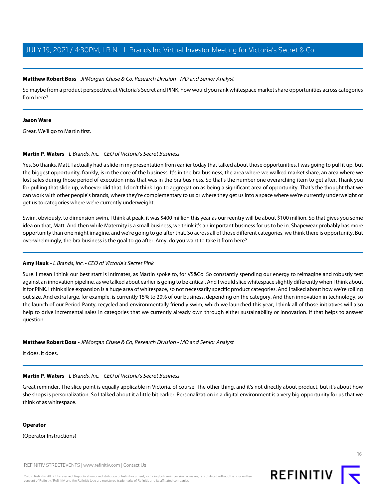#### <span id="page-15-0"></span>**Matthew Robert Boss** - JPMorgan Chase & Co, Research Division - MD and Senior Analyst

So maybe from a product perspective, at Victoria's Secret and PINK, how would you rank whitespace market share opportunities across categories from here?

#### **Jason Ware**

Great. We'll go to Martin first.

# **Martin P. Waters** - L Brands, Inc. - CEO of Victoria's Secret Business

Yes. So thanks, Matt. I actually had a slide in my presentation from earlier today that talked about those opportunities. I was going to pull it up, but the biggest opportunity, frankly, is in the core of the business. It's in the bra business, the area where we walked market share, an area where we lost sales during those period of execution miss that was in the bra business. So that's the number one overarching item to get after. Thank you for pulling that slide up, whoever did that. I don't think I go to aggregation as being a significant area of opportunity. That's the thought that we can work with other people's brands, where they're complementary to us or where they get us into a space where we're currently underweight or get us to categories where we're currently underweight.

Swim, obviously, to dimension swim, I think at peak, it was \$400 million this year as our reentry will be about \$100 million. So that gives you some idea on that, Matt. And then while Maternity is a small business, we think it's an important business for us to be in. Shapewear probably has more opportunity than one might imagine, and we're going to go after that. So across all of those different categories, we think there is opportunity. But overwhelmingly, the bra business is the goal to go after. Amy, do you want to take it from here?

# **Amy Hauk** - L Brands, Inc. - CEO of Victoria's Secret Pink

Sure. I mean I think our best start is Intimates, as Martin spoke to, for VS&Co. So constantly spending our energy to reimagine and robustly test against an innovation pipeline, as we talked about earlier is going to be critical. And I would slice whitespace slightly differently when I think about it for PINK. I think slice expansion is a huge area of whitespace, so not necessarily specific product categories. And I talked about how we're rolling out size. And extra large, for example, is currently 15% to 20% of our business, depending on the category. And then innovation in technology, so the launch of our Period Panty, recycled and environmentally friendly swim, which we launched this year, I think all of those initiatives will also help to drive incremental sales in categories that we currently already own through either sustainability or innovation. If that helps to answer question.

# **Matthew Robert Boss** - JPMorgan Chase & Co, Research Division - MD and Senior Analyst

It does. It does.

# **Martin P. Waters** - L Brands, Inc. - CEO of Victoria's Secret Business

Great reminder. The slice point is equally applicable in Victoria, of course. The other thing, and it's not directly about product, but it's about how she shops is personalization. So I talked about it a little bit earlier. Personalization in a digital environment is a very big opportunity for us that we think of as whitespace.

#### **Operator**

(Operator Instructions)

REFINITIV STREETEVENTS | [www.refinitiv.com](https://www.refinitiv.com/) | [Contact Us](https://www.refinitiv.com/en/contact-us)

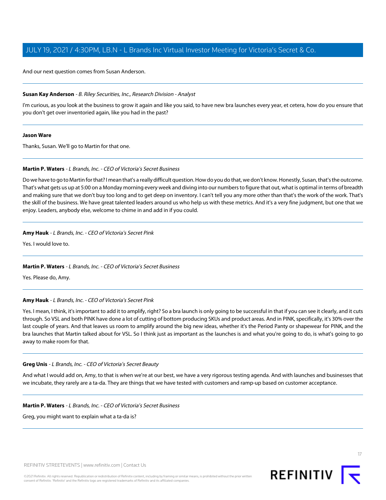And our next question comes from Susan Anderson.

#### <span id="page-16-0"></span>**Susan Kay Anderson** - B. Riley Securities, Inc., Research Division - Analyst

I'm curious, as you look at the business to grow it again and like you said, to have new bra launches every year, et cetera, how do you ensure that you don't get over inventoried again, like you had in the past?

#### **Jason Ware**

Thanks, Susan. We'll go to Martin for that one.

# **Martin P. Waters** - L Brands, Inc. - CEO of Victoria's Secret Business

Do we have to go to Martin for that? I mean that's a really difficult question. How do you do that, we don't know. Honestly, Susan, that's the outcome. That's what gets us up at 5:00 on a Monday morning every week and diving into our numbers to figure that out, what is optimal in terms of breadth and making sure that we don't buy too long and to get deep on inventory. I can't tell you any more other than that's the work of the work. That's the skill of the business. We have great talented leaders around us who help us with these metrics. And it's a very fine judgment, but one that we enjoy. Leaders, anybody else, welcome to chime in and add in if you could.

# **Amy Hauk** - L Brands, Inc. - CEO of Victoria's Secret Pink

Yes. I would love to.

# **Martin P. Waters** - L Brands, Inc. - CEO of Victoria's Secret Business

Yes. Please do, Amy.

# **Amy Hauk** - L Brands, Inc. - CEO of Victoria's Secret Pink

Yes. I mean, I think, it's important to add it to amplify, right? So a bra launch is only going to be successful in that if you can see it clearly, and it cuts through. So VSL and both PINK have done a lot of cutting of bottom producing SKUs and product areas. And in PINK, specifically, it's 30% over the last couple of years. And that leaves us room to amplify around the big new ideas, whether it's the Period Panty or shapewear for PINK, and the bra launches that Martin talked about for VSL. So I think just as important as the launches is and what you're going to do, is what's going to go away to make room for that.

#### **Greg Unis** - L Brands, Inc. - CEO of Victoria's Secret Beauty

And what I would add on, Amy, to that is when we're at our best, we have a very rigorous testing agenda. And with launches and businesses that we incubate, they rarely are a ta-da. They are things that we have tested with customers and ramp-up based on customer acceptance.

**Martin P. Waters** - L Brands, Inc. - CEO of Victoria's Secret Business

Greg, you might want to explain what a ta-da is?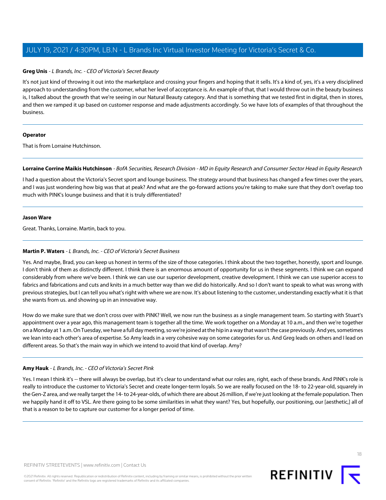#### **Greg Unis** - L Brands, Inc. - CEO of Victoria's Secret Beauty

It's not just kind of throwing it out into the marketplace and crossing your fingers and hoping that it sells. It's a kind of, yes, it's a very disciplined approach to understanding from the customer, what her level of acceptance is. An example of that, that I would throw out in the beauty business is, I talked about the growth that we're seeing in our Natural Beauty category. And that is something that we tested first in digital, then in stores, and then we ramped it up based on customer response and made adjustments accordingly. So we have lots of examples of that throughout the business.

#### **Operator**

<span id="page-17-0"></span>That is from Lorraine Hutchinson.

**Lorraine Corrine Maikis Hutchinson** - BofA Securities, Research Division - MD in Equity Research and Consumer Sector Head in Equity Research

I had a question about the Victoria's Secret sport and lounge business. The strategy around that business has changed a few times over the years, and I was just wondering how big was that at peak? And what are the go-forward actions you're taking to make sure that they don't overlap too much with PINK's lounge business and that it is truly differentiated?

#### **Jason Ware**

Great. Thanks, Lorraine. Martin, back to you.

# **Martin P. Waters** - L Brands, Inc. - CEO of Victoria's Secret Business

Yes. And maybe, Brad, you can keep us honest in terms of the size of those categories. I think about the two together, honestly, sport and lounge. I don't think of them as distinctly different. I think there is an enormous amount of opportunity for us in these segments. I think we can expand considerably from where we've been. I think we can use our superior development, creative development. I think we can use superior access to fabrics and fabrications and cuts and knits in a much better way than we did do historically. And so I don't want to speak to what was wrong with previous strategies, but I can tell you what's right with where we are now. It's about listening to the customer, understanding exactly what it is that she wants from us. and showing up in an innovative way.

How do we make sure that we don't cross over with PINK? Well, we now run the business as a single management team. So starting with Stuart's appointment over a year ago, this management team is together all the time. We work together on a Monday at 10 a.m., and then we're together on a Monday at 1 a.m. On Tuesday, we have a full day meeting, so we're joined at the hip in a way that wasn't the case previously. And yes, sometimes we lean into each other's area of expertise. So Amy leads in a very cohesive way on some categories for us. And Greg leads on others and I lead on different areas. So that's the main way in which we intend to avoid that kind of overlap. Amy?

# **Amy Hauk** - L Brands, Inc. - CEO of Victoria's Secret Pink

Yes. I mean I think it's -- there will always be overlap, but it's clear to understand what our roles are, right, each of these brands. And PINK's role is really to introduce the customer to Victoria's Secret and create longer-term loyals. So we are really focused on the 18- to 22-year-old, squarely in the Gen-Z area, and we really target the 14- to 24-year-olds, of which there are about 26 million, if we're just looking at the female population. Then we happily hand it off to VSL. Are there going to be some similarities in what they want? Yes, but hopefully, our positioning, our [aesthetic,] all of that is a reason to be to capture our customer for a longer period of time.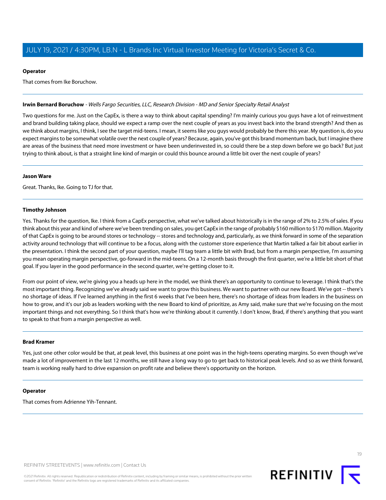#### **Operator**

That comes from Ike Boruchow.

#### <span id="page-18-0"></span>**Irwin Bernard Boruchow** - Wells Fargo Securities, LLC, Research Division - MD and Senior Specialty Retail Analyst

Two questions for me. Just on the CapEx, is there a way to think about capital spending? I'm mainly curious you guys have a lot of reinvestment and brand building taking place, should we expect a ramp over the next couple of years as you invest back into the brand strength? And then as we think about margins, I think, I see the target mid-teens. I mean, it seems like you guys would probably be there this year. My question is, do you expect margins to be somewhat volatile over the next couple of years? Because, again, you've got this brand momentum back, but I imagine there are areas of the business that need more investment or have been underinvested in, so could there be a step down before we go back? But just trying to think about, is that a straight line kind of margin or could this bounce around a little bit over the next couple of years?

#### **Jason Ware**

Great. Thanks, Ike. Going to TJ for that.

#### **Timothy Johnson**

Yes. Thanks for the question, Ike. I think from a CapEx perspective, what we've talked about historically is in the range of 2% to 2.5% of sales. If you think about this year and kind of where we've been trending on sales, you get CapEx in the range of probably \$160 million to \$170 million. Majority of that CapEx is going to be around stores or technology -- stores and technology and, particularly, as we think forward in some of the separation activity around technology that will continue to be a focus, along with the customer store experience that Martin talked a fair bit about earlier in the presentation. I think the second part of your question, maybe I'll tag team a little bit with Brad, but from a margin perspective, I'm assuming you mean operating margin perspective, go-forward in the mid-teens. On a 12-month basis through the first quarter, we're a little bit short of that goal. If you layer in the good performance in the second quarter, we're getting closer to it.

From our point of view, we're giving you a heads up here in the model, we think there's an opportunity to continue to leverage. I think that's the most important thing. Recognizing we've already said we want to grow this business. We want to partner with our new Board. We've got -- there's no shortage of ideas. If I've learned anything in the first 6 weeks that I've been here, there's no shortage of ideas from leaders in the business on how to grow, and it's our job as leaders working with the new Board to kind of prioritize, as Amy said, make sure that we're focusing on the most important things and not everything. So I think that's how we're thinking about it currently. I don't know, Brad, if there's anything that you want to speak to that from a margin perspective as well.

#### **Brad Kramer**

Yes, just one other color would be that, at peak level, this business at one point was in the high-teens operating margins. So even though we've made a lot of improvement in the last 12 months, we still have a long way to go to get back to historical peak levels. And so as we think forward, team is working really hard to drive expansion on profit rate and believe there's opportunity on the horizon.

#### **Operator**

That comes from Adrienne Yih-Tennant.

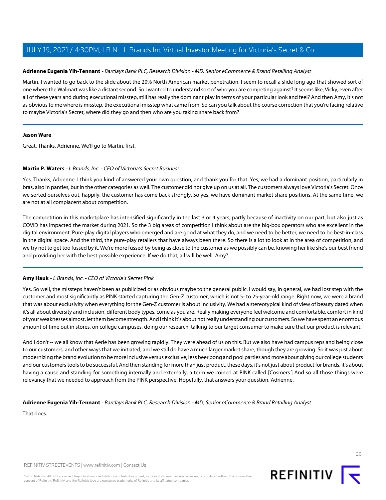# <span id="page-19-0"></span>**Adrienne Eugenia Yih-Tennant** - Barclays Bank PLC, Research Division - MD, Senior eCommerce & Brand Retailing Analyst

Martin, I wanted to go back to the slide about the 20% North American market penetration. I seem to recall a slide long ago that showed sort of one where the Walmart was like a distant second. So I wanted to understand sort of who you are competing against? It seems like, Vicky, even after all of these years and during executional misstep, still has really the dominant play in terms of your particular look and feel? And then Amy, it's not as obvious to me where is misstep, the executional misstep what came from. So can you talk about the course correction that you're facing relative to maybe Victoria's Secret, where did they go and then who are you taking share back from?

#### **Jason Ware**

Great. Thanks, Adrienne. We'll go to Martin, first.

# **Martin P. Waters** - L Brands, Inc. - CEO of Victoria's Secret Business

Yes. Thanks, Adrienne. I think you kind of answered your own question, and thank you for that. Yes, we had a dominant position, particularly in bras, also in panties, but in the other categories as well. The customer did not give up on us at all. The customers always love Victoria's Secret. Once we sorted ourselves out, happily, the customer has come back strongly. So yes, we have dominant market share positions. At the same time, we are not at all complacent about competition.

The competition in this marketplace has intensified significantly in the last 3 or 4 years, partly because of inactivity on our part, but also just as COVID has impacted the market during 2021. So the 3 big areas of competition I think about are the big-box operators who are excellent in the digital environment. Pure-play digital players who emerged and are good at what they do, and we need to be better, we need to be best-in-class in the digital space. And the third, the pure-play retailers that have always been there. So there is a lot to look at in the area of competition, and we try not to get too fussed by it. We're more fussed by being as close to the customer as we possibly can be, knowing her like she's our best friend and providing her with the best possible experience. If we do that, all will be well. Amy?

# **Amy Hauk** - L Brands, Inc. - CEO of Victoria's Secret Pink

Yes. So well, the missteps haven't been as publicized or as obvious maybe to the general public. I would say, in general, we had lost step with the customer and most significantly as PINK started capturing the Gen-Z customer, which is not 5- to 25-year-old range. Right now, we were a brand that was about exclusivity when everything for the Gen-Z customer is about inclusivity. We had a stereotypical kind of view of beauty dated when it's all about diversity and inclusion, different body types, come as you are. Really making everyone feel welcome and comfortable, comfort in kind of your weaknesses almost, let them become strength. And I think it's about not really understanding our customers. So we have spent an enormous amount of time out in stores, on college campuses, doing our research, talking to our target consumer to make sure that our product is relevant.

And I don't -- we all know that Aerie has been growing rapidly. They were ahead of us on this. But we also have had campus reps and being close to our customers, and other ways that we initiated, and we still do have a much larger market share, though they are growing. So it was just about modernizing the brand evolution to be more inclusive versus exclusive, less beer pong and pool parties and more about giving our college students and our customers tools to be successful. And then standing for more than just product, these days, it's not just about product for brands, it's about having a cause and standing for something internally and externally, a term we coined at PINK called [Cosmers.] And so all those things were relevancy that we needed to approach from the PINK perspective. Hopefully, that answers your question, Adrienne.

# **Adrienne Eugenia Yih-Tennant** - Barclays Bank PLC, Research Division - MD, Senior eCommerce & Brand Retailing Analyst

That does.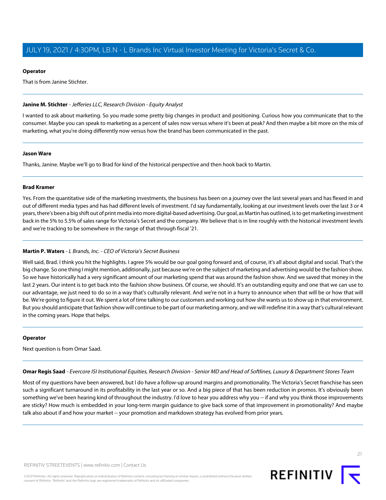#### **Operator**

That is from Janine Stichter.

#### <span id="page-20-0"></span>**Janine M. Stichter** - Jefferies LLC, Research Division - Equity Analyst

I wanted to ask about marketing. So you made some pretty big changes in product and positioning. Curious how you communicate that to the consumer. Maybe you can speak to marketing as a percent of sales now versus where it's been at peak? And then maybe a bit more on the mix of marketing, what you're doing differently now versus how the brand has been communicated in the past.

#### **Jason Ware**

Thanks, Janine. Maybe we'll go to Brad for kind of the historical perspective and then hook back to Martin.

#### **Brad Kramer**

Yes. From the quantitative side of the marketing investments, the business has been on a journey over the last several years and has flexed in and out of different media types and has had different levels of investment. I'd say fundamentally, looking at our investment levels over the last 3 or 4 years, there's been a big shift out of print media into more digital-based advertising. Our goal, as Martin has outlined, is to get marketing investment back in the 5% to 5.5% of sales range for Victoria's Secret and the company. We believe that is in line roughly with the historical investment levels and we're tracking to be somewhere in the range of that through fiscal '21.

# **Martin P. Waters** - L Brands, Inc. - CEO of Victoria's Secret Business

Well said, Brad. I think you hit the highlights. I agree 5% would be our goal going forward and, of course, it's all about digital and social. That's the big change. So one thing I might mention, additionally, just because we're on the subject of marketing and advertising would be the fashion show. So we have historically had a very significant amount of our marketing spend that was around the fashion show. And we saved that money in the last 2 years. Our intent is to get back into the fashion show business. Of course, we should. It's an outstanding equity and one that we can use to our advantage, we just need to do so in a way that's culturally relevant. And we're not in a hurry to announce when that will be or how that will be. We're going to figure it out. We spent a lot of time talking to our customers and working out how she wants us to show up in that environment. But you should anticipate that fashion show will continue to be part of our marketing armory, and we will redefine it in a way that's cultural relevant in the coming years. Hope that helps.

# <span id="page-20-1"></span>**Operator**

Next question is from Omar Saad.

**Omar Regis Saad** - Evercore ISI Institutional Equities, Research Division - Senior MD and Head of Softlines, Luxury & Department Stores Team

Most of my questions have been answered, but I do have a follow-up around margins and promotionality. The Victoria's Secret franchise has seen such a significant turnaround in its profitability in the last year or so. And a big piece of that has been reduction in promos. It's obviously been something we've been hearing kind of throughout the industry. I'd love to hear you address why you -- if and why you think those improvements are sticky? How much is embedded in your long-term margin guidance to give back some of that improvement in promotionality? And maybe talk also about if and how your market -- your promotion and markdown strategy has evolved from prior years.

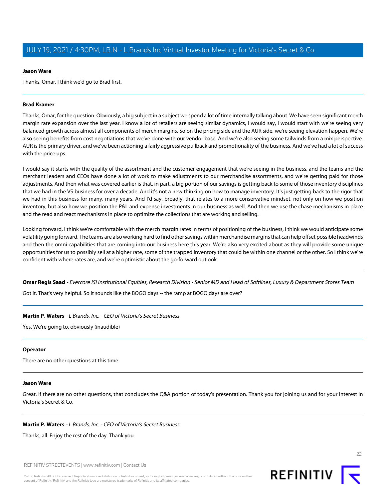#### **Jason Ware**

Thanks, Omar. I think we'd go to Brad first.

#### **Brad Kramer**

Thanks, Omar, for the question. Obviously, a big subject in a subject we spend a lot of time internally talking about. We have seen significant merch margin rate expansion over the last year. I know a lot of retailers are seeing similar dynamics, I would say, I would start with we're seeing very balanced growth across almost all components of merch margins. So on the pricing side and the AUR side, we're seeing elevation happen. We're also seeing benefits from cost negotiations that we've done with our vendor base. And we're also seeing some tailwinds from a mix perspective. AUR is the primary driver, and we've been actioning a fairly aggressive pullback and promotionality of the business. And we've had a lot of success with the price ups.

I would say it starts with the quality of the assortment and the customer engagement that we're seeing in the business, and the teams and the merchant leaders and CEOs have done a lot of work to make adjustments to our merchandise assortments, and we're getting paid for those adjustments. And then what was covered earlier is that, in part, a big portion of our savings is getting back to some of those inventory disciplines that we had in the VS business for over a decade. And it's not a new thinking on how to manage inventory. It's just getting back to the rigor that we had in this business for many, many years. And I'd say, broadly, that relates to a more conservative mindset, not only on how we position inventory, but also how we position the P&L and expense investments in our business as well. And then we use the chase mechanisms in place and the read and react mechanisms in place to optimize the collections that are working and selling.

Looking forward, I think we're comfortable with the merch margin rates in terms of positioning of the business, I think we would anticipate some volatility going forward. The teams are also working hard to find other savings within merchandise margins that can help offset possible headwinds and then the omni capabilities that are coming into our business here this year. We're also very excited about as they will provide some unique opportunities for us to possibly sell at a higher rate, some of the trapped inventory that could be within one channel or the other. So I think we're confident with where rates are, and we're optimistic about the go-forward outlook.

Omar Regis Saad - Evercore ISI Institutional Equities, Research Division - Senior MD and Head of Softlines, Luxury & Department Stores Team Got it. That's very helpful. So it sounds like the BOGO days -- the ramp at BOGO days are over?

#### **Martin P. Waters** - L Brands, Inc. - CEO of Victoria's Secret Business

Yes. We're going to, obviously (inaudible)

#### **Operator**

There are no other questions at this time.

#### **Jason Ware**

Great. If there are no other questions, that concludes the Q&A portion of today's presentation. Thank you for joining us and for your interest in Victoria's Secret & Co.

#### **Martin P. Waters** - L Brands, Inc. - CEO of Victoria's Secret Business

Thanks, all. Enjoy the rest of the day. Thank you.

REFINITIV STREETEVENTS | [www.refinitiv.com](https://www.refinitiv.com/) | [Contact Us](https://www.refinitiv.com/en/contact-us)